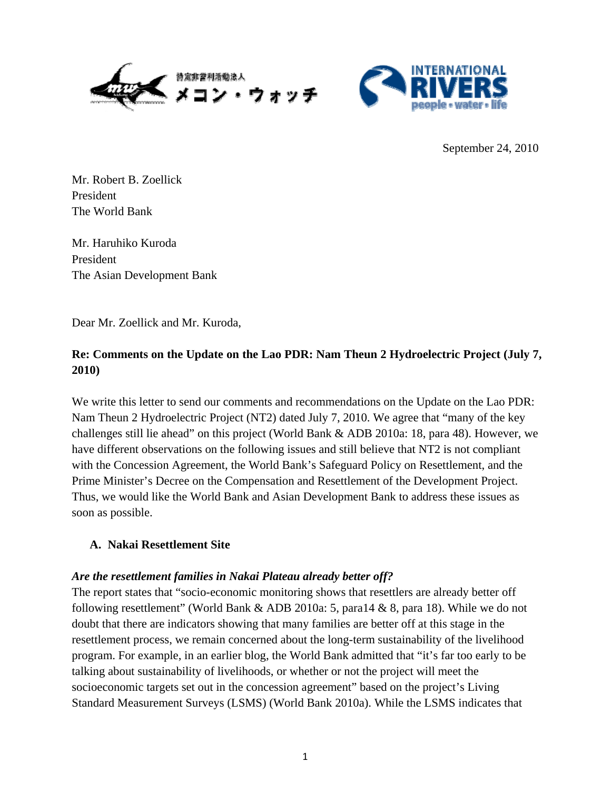



September 24, 2010

Mr. Robert B. Zoellick President The World Bank

Mr. Haruhiko Kuroda President The Asian Development Bank

Dear Mr. Zoellick and Mr. Kuroda,

# **Re: Comments on the Update on the Lao PDR: Nam Theun 2 Hydroelectric Project (July 7, 2010)**

We write this letter to send our comments and recommendations on the Update on the Lao PDR: Nam Theun 2 Hydroelectric Project (NT2) dated July 7, 2010. We agree that "many of the key challenges still lie ahead" on this project (World Bank & ADB 2010a: 18, para 48). However, we have different observations on the following issues and still believe that NT2 is not compliant with the Concession Agreement, the World Bank's Safeguard Policy on Resettlement, and the Prime Minister's Decree on the Compensation and Resettlement of the Development Project. Thus, we would like the World Bank and Asian Development Bank to address these issues as soon as possible.

### **A. Nakai Resettlement Site**

### *Are the resettlement families in Nakai Plateau already better off?*

The report states that "socio-economic monitoring shows that resettlers are already better off following resettlement" (World Bank & ADB 2010a: 5, para14 & 8, para 18). While we do not doubt that there are indicators showing that many families are better off at this stage in the resettlement process, we remain concerned about the long-term sustainability of the livelihood program. For example, in an earlier blog, the World Bank admitted that "it's far too early to be talking about sustainability of livelihoods, or whether or not the project will meet the socioeconomic targets set out in the concession agreement" based on the project's Living Standard Measurement Surveys (LSMS) (World Bank 2010a). While the LSMS indicates that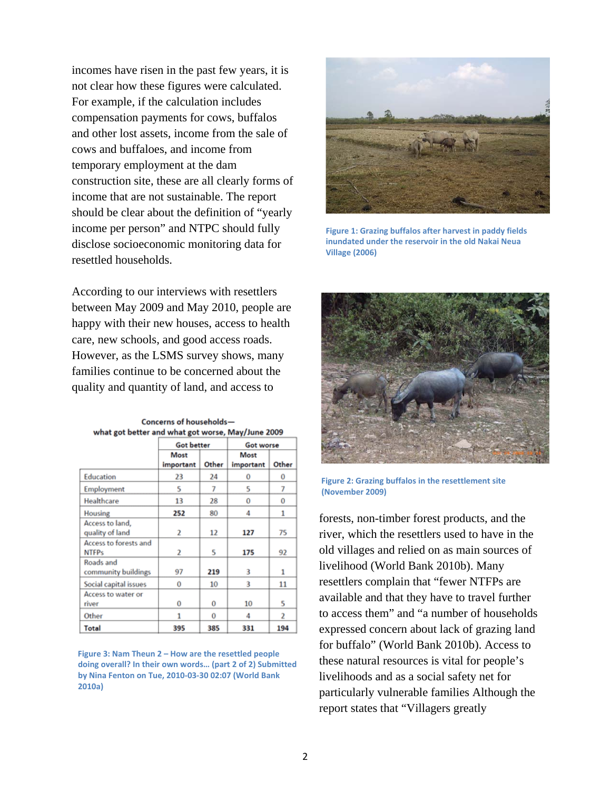incomes have risen in the past few years, it is not clear how these figures were calculated. For example, if the calculation includes compensation payments for cows, buffalos and other lost assets, income from the sale of cows and buffaloes, and income from temporary employment at the dam construction site, these are all clearly forms of income that are not sustainable. The report should be clear about the definition of "yearly income per person" and NTPC should fully disclose socioeconomic monitoring data for resettled households.

According to our interviews with resettlers between May 2009 and May 2010, people are happy with their new houses, access to health care, new schools, and good access roads. However, as the LSMS survey shows, many families continue to be concerned about the quality and quantity of land, and access to

|                                       | <b>Got better</b> |       | Got worse         |       |
|---------------------------------------|-------------------|-------|-------------------|-------|
|                                       | Most<br>important | Other | Most<br>important | Other |
| Education                             | 23                | 24    | 0                 | 0     |
| Employment                            | 5                 | 7     | 5                 | 7     |
| Healthcare                            | 13                | 28    | 0                 | 0     |
| <b>Housing</b>                        | 252               | 80    | 4                 | 1     |
| Access to land,<br>quality of land    | 2                 | 12    | 127               | 75    |
| Access to forests and<br><b>NTFPs</b> | 2                 | 5     | 175               | 92    |
| Roads and<br>community buildings      | 97                | 219   | 3                 | 1     |
| Social capital issues                 | 0                 | 10    | 3                 | 11    |
| Access to water or<br>river           | 0                 | 0     | 10                | 5     |
| Other                                 | 1                 | 0     | 4                 | 2     |
| Total                                 | 395               | 385   | 331               | 194   |

Concerns of householdswhat got better and what got worse, May/June 2009

**Figure 3: Nam Theun 2 – How are the resettled people doing overall? In their own words… (part 2 of 2) Submitted by Nina Fenton on Tue, 2010‐03‐30 02:07 (World Bank 2010a)**



**Figure 1: Grazing buffalos after harvest in paddy fields inundated under the reservoir in the old Nakai Neua Village (2006)**



**Figure 2: Grazing buffalos in the resettlement site (November 2009)**

forests, non-timber forest products, and the river, which the resettlers used to have in the old villages and relied on as main sources of livelihood (World Bank 2010b). Many resettlers complain that "fewer NTFPs are available and that they have to travel further to access them" and "a number of households expressed concern about lack of grazing land for buffalo" (World Bank 2010b). Access to these natural resources is vital for people's livelihoods and as a social safety net for particularly vulnerable families Although the report states that "Villagers greatly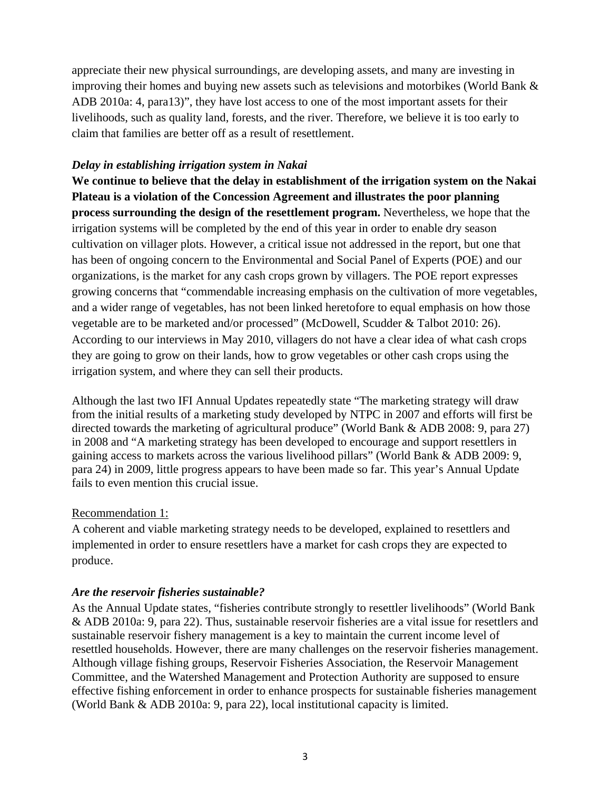appreciate their new physical surroundings, are developing assets, and many are investing in improving their homes and buying new assets such as televisions and motorbikes (World Bank & ADB 2010a: 4, para13)", they have lost access to one of the most important assets for their livelihoods, such as quality land, forests, and the river. Therefore, we believe it is too early to claim that families are better off as a result of resettlement.

### *Delay in establishing irrigation system in Nakai*

**We continue to believe that the delay in establishment of the irrigation system on the Nakai Plateau is a violation of the Concession Agreement and illustrates the poor planning process surrounding the design of the resettlement program.** Nevertheless, we hope that the irrigation systems will be completed by the end of this year in order to enable dry season cultivation on villager plots. However, a critical issue not addressed in the report, but one that has been of ongoing concern to the Environmental and Social Panel of Experts (POE) and our organizations, is the market for any cash crops grown by villagers. The POE report expresses growing concerns that "commendable increasing emphasis on the cultivation of more vegetables, and a wider range of vegetables, has not been linked heretofore to equal emphasis on how those vegetable are to be marketed and/or processed" (McDowell, Scudder & Talbot 2010: 26). According to our interviews in May 2010, villagers do not have a clear idea of what cash crops they are going to grow on their lands, how to grow vegetables or other cash crops using the irrigation system, and where they can sell their products.

Although the last two IFI Annual Updates repeatedly state "The marketing strategy will draw from the initial results of a marketing study developed by NTPC in 2007 and efforts will first be directed towards the marketing of agricultural produce" (World Bank & ADB 2008: 9, para 27) in 2008 and "A marketing strategy has been developed to encourage and support resettlers in gaining access to markets across the various livelihood pillars" (World Bank & ADB 2009: 9, para 24) in 2009, little progress appears to have been made so far. This year's Annual Update fails to even mention this crucial issue.

#### Recommendation 1:

A coherent and viable marketing strategy needs to be developed, explained to resettlers and implemented in order to ensure resettlers have a market for cash crops they are expected to produce.

### *Are the reservoir fisheries sustainable?*

As the Annual Update states, "fisheries contribute strongly to resettler livelihoods" (World Bank & ADB 2010a: 9, para 22). Thus, sustainable reservoir fisheries are a vital issue for resettlers and sustainable reservoir fishery management is a key to maintain the current income level of resettled households. However, there are many challenges on the reservoir fisheries management. Although village fishing groups, Reservoir Fisheries Association, the Reservoir Management Committee, and the Watershed Management and Protection Authority are supposed to ensure effective fishing enforcement in order to enhance prospects for sustainable fisheries management (World Bank & ADB 2010a: 9, para 22), local institutional capacity is limited.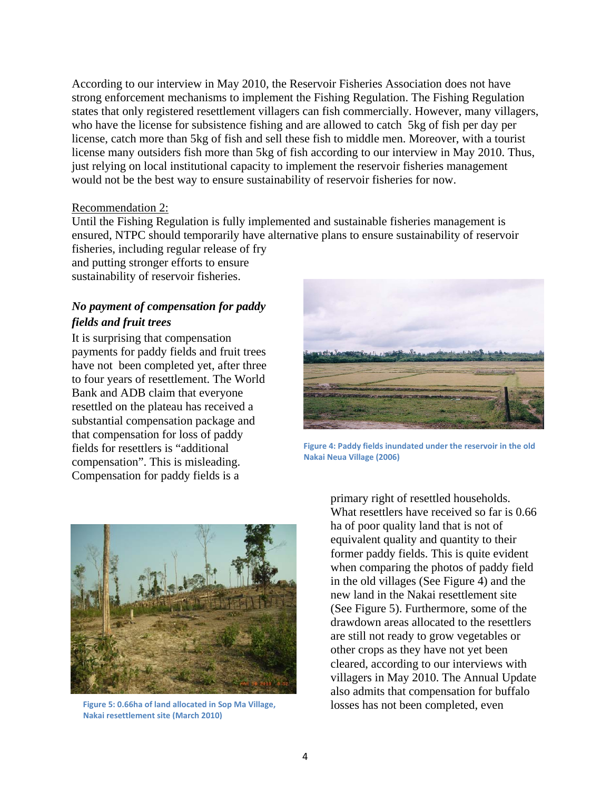According to our interview in May 2010, the Reservoir Fisheries Association does not have strong enforcement mechanisms to implement the Fishing Regulation. The Fishing Regulation states that only registered resettlement villagers can fish commercially. However, many villagers, who have the license for subsistence fishing and are allowed to catch 5kg of fish per day per license, catch more than 5kg of fish and sell these fish to middle men. Moreover, with a tourist license many outsiders fish more than 5kg of fish according to our interview in May 2010. Thus, just relying on local institutional capacity to implement the reservoir fisheries management would not be the best way to ensure sustainability of reservoir fisheries for now.

#### Recommendation 2:

Until the Fishing Regulation is fully implemented and sustainable fisheries management is ensured, NTPC should temporarily have alternative plans to ensure sustainability of reservoir fisheries, including regular release of fry

and putting stronger efforts to ensure sustainability of reservoir fisheries.

## *No payment of compensation for paddy fields and fruit trees*

It is surprising that compensation payments for paddy fields and fruit trees have not been completed yet, after three to four years of resettlement. The World Bank and ADB claim that everyone resettled on the plateau has received a substantial compensation package and that compensation for loss of paddy fields for resettlers is "additional compensation". This is misleading. Compensation for paddy fields is a



**Figure 4: Paddy fields inundated under the reservoir in the old Nakai Neua Village (2006)**



**Figure 5: 0.66ha of land allocated in Sop Ma Village, Nakai resettlement site (March 2010)**

primary right of resettled households. What resettlers have received so far is 0.66 ha of poor quality land that is not of equivalent quality and quantity to their former paddy fields. This is quite evident when comparing the photos of paddy field in the old villages (See Figure 4) and the new land in the Nakai resettlement site (See Figure 5). Furthermore, some of the drawdown areas allocated to the resettlers are still not ready to grow vegetables or other crops as they have not yet been cleared, according to our interviews with villagers in May 2010. The Annual Update also admits that compensation for buffalo losses has not been completed, even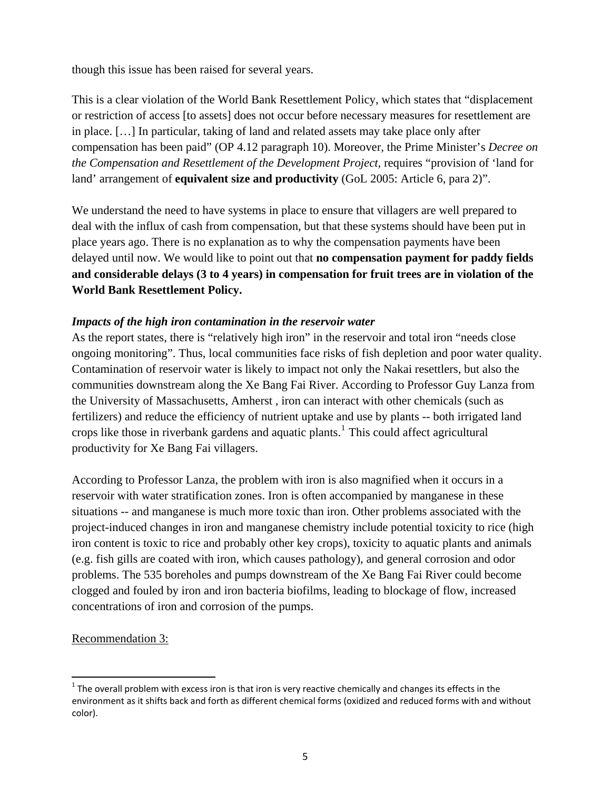though this issue has been raised for several years.

This is a clear violation of the World Bank Resettlement Policy, which states that "displacement or restriction of access [to assets] does not occur before necessary measures for resettlement are in place. […] In particular, taking of land and related assets may take place only after compensation has been paid" (OP 4.12 paragraph 10). Moreover, the Prime Minister's *Decree on the Compensation and Resettlement of the Development Project, requires "provision of 'land for* land' arrangement of **equivalent size and productivity** (GoL 2005: Article 6, para 2)".

We understand the need to have systems in place to ensure that villagers are well prepared to deal with the influx of cash from compensation, but that these systems should have been put in place years ago. There is no explanation as to why the compensation payments have been delayed until now. We would like to point out that **no compensation payment for paddy fields and considerable delays (3 to 4 years) in compensation for fruit trees are in violation of the World Bank Resettlement Policy.**

### *Impacts of the high iron contamination in the reservoir water*

As the report states, there is "relatively high iron" in the reservoir and total iron "needs close ongoing monitoring". Thus, local communities face risks of fish depletion and poor water quality. Contamination of reservoir water is likely to impact not only the Nakai resettlers, but also the communities downstream along the Xe Bang Fai River. According to Professor Guy Lanza from the University of Massachusetts, Amherst , iron can interact with other chemicals (such as fertilizers) and reduce the efficiency of nutrient uptake and use by plants -- both irrigated land crops like those in riverbank gardens and aquatic plants.<sup>[1](#page-4-0)</sup> This could affect agricultural productivity for Xe Bang Fai villagers.

According to Professor Lanza, the problem with iron is also magnified when it occurs in a reservoir with water stratification zones. Iron is often accompanied by manganese in these situations -- and manganese is much more toxic than iron. Other problems associated with the project-induced changes in iron and manganese chemistry include potential toxicity to rice (high iron content is toxic to rice and probably other key crops), toxicity to aquatic plants and animals (e.g. fish gills are coated with iron, which causes pathology), and general corrosion and odor problems. The 535 boreholes and pumps downstream of the Xe Bang Fai River could become clogged and fouled by iron and iron bacteria biofilms, leading to blockage of flow, increased concentrations of iron and corrosion of the pumps.

Recommendation 3:

<span id="page-4-0"></span> $1$  The overall problem with excess iron is that iron is very reactive chemically and changes its effects in the environment as it shifts back and forth as different chemical forms (oxidized and reduced forms with and without color).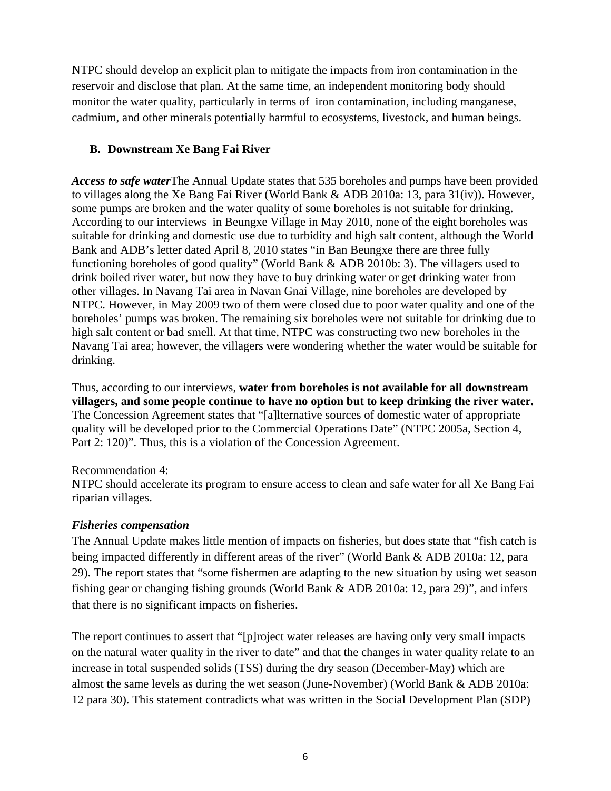NTPC should develop an explicit plan to mitigate the impacts from iron contamination in the reservoir and disclose that plan. At the same time, an independent monitoring body should monitor the water quality, particularly in terms of iron contamination, including manganese, cadmium, and other minerals potentially harmful to ecosystems, livestock, and human beings.

## **B. Downstream Xe Bang Fai River**

*Access to safe water*The Annual Update states that 535 boreholes and pumps have been provided to villages along the Xe Bang Fai River (World Bank & ADB 2010a: 13, para 31(iv)). However, some pumps are broken and the water quality of some boreholes is not suitable for drinking. According to our interviews in Beungxe Village in May 2010, none of the eight boreholes was suitable for drinking and domestic use due to turbidity and high salt content, although the World Bank and ADB's letter dated April 8, 2010 states "in Ban Beungxe there are three fully functioning boreholes of good quality" (World Bank & ADB 2010b: 3). The villagers used to drink boiled river water, but now they have to buy drinking water or get drinking water from other villages. In Navang Tai area in Navan Gnai Village, nine boreholes are developed by NTPC. However, in May 2009 two of them were closed due to poor water quality and one of the boreholes' pumps was broken. The remaining six boreholes were not suitable for drinking due to high salt content or bad smell. At that time, NTPC was constructing two new boreholes in the Navang Tai area; however, the villagers were wondering whether the water would be suitable for drinking.

Thus, according to our interviews, **water from boreholes is not available for all downstream villagers, and some people continue to have no option but to keep drinking the river water.**  The Concession Agreement states that "[a]lternative sources of domestic water of appropriate quality will be developed prior to the Commercial Operations Date" (NTPC 2005a, Section 4, Part 2: 120)". Thus, this is a violation of the Concession Agreement.

### Recommendation 4:

NTPC should accelerate its program to ensure access to clean and safe water for all Xe Bang Fai riparian villages.

### *Fisheries compensation*

The Annual Update makes little mention of impacts on fisheries, but does state that "fish catch is being impacted differently in different areas of the river" (World Bank & ADB 2010a: 12, para 29). The report states that "some fishermen are adapting to the new situation by using wet season fishing gear or changing fishing grounds (World Bank & ADB 2010a: 12, para 29)", and infers that there is no significant impacts on fisheries.

The report continues to assert that "[p]roject water releases are having only very small impacts on the natural water quality in the river to date" and that the changes in water quality relate to an increase in total suspended solids (TSS) during the dry season (December-May) which are almost the same levels as during the wet season (June-November) (World Bank & ADB 2010a: 12 para 30). This statement contradicts what was written in the Social Development Plan (SDP)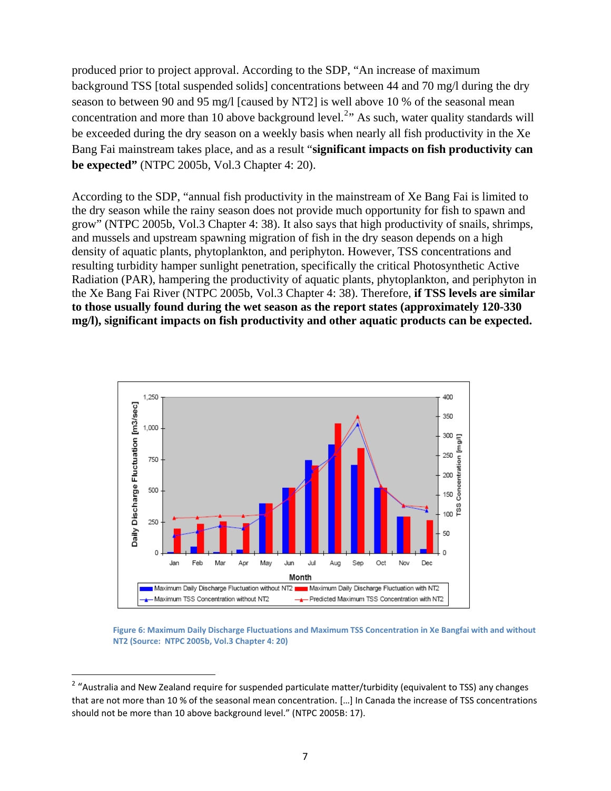produced prior to project approval. According to the SDP, "An increase of maximum background TSS [total suspended solids] concentrations between 44 and 70 mg/l during the dry season to between 90 and 95 mg/l [caused by NT2] is well above 10 % of the seasonal mean concentration and more than 10 above background level.<sup>[2](#page-6-0)</sup> $\cdot$  As such, water quality standards will be exceeded during the dry season on a weekly basis when nearly all fish productivity in the Xe Bang Fai mainstream takes place, and as a result "**significant impacts on fish productivity can be expected"** (NTPC 2005b, Vol.3 Chapter 4: 20).

According to the SDP, "annual fish productivity in the mainstream of Xe Bang Fai is limited to the dry season while the rainy season does not provide much opportunity for fish to spawn and grow" (NTPC 2005b, Vol.3 Chapter 4: 38). It also says that high productivity of snails, shrimps, and mussels and upstream spawning migration of fish in the dry season depends on a high density of aquatic plants, phytoplankton, and periphyton. However, TSS concentrations and resulting turbidity hamper sunlight penetration, specifically the critical Photosynthetic Active Radiation (PAR), hampering the productivity of aquatic plants, phytoplankton, and periphyton in the Xe Bang Fai River (NTPC 2005b, Vol.3 Chapter 4: 38). Therefore, **if TSS levels are similar to those usually found during the wet season as the report states (approximately 120-330 mg/l), significant impacts on fish productivity and other aquatic products can be expected.**



**Figure 6: Maximum Daily Discharge Fluctuations and Maximum TSS Concentration in Xe Bangfai with and without NT2 (Source: NTPC 2005b, Vol.3 Chapter 4: 20)**

<span id="page-6-0"></span><sup>&</sup>lt;sup>2</sup> "Australia and New Zealand require for suspended particulate matter/turbidity (equivalent to TSS) any changes that are not more than 10 % of the seasonal mean concentration. […] In Canada the increase of TSS concentrations should not be more than 10 above background level." (NTPC 2005B: 17).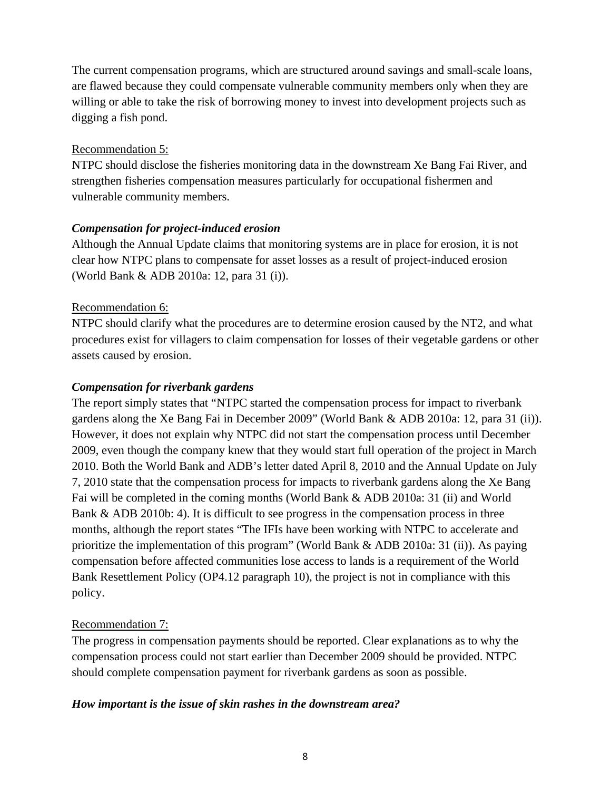The current compensation programs, which are structured around savings and small-scale loans, are flawed because they could compensate vulnerable community members only when they are willing or able to take the risk of borrowing money to invest into development projects such as digging a fish pond.

### Recommendation 5:

NTPC should disclose the fisheries monitoring data in the downstream Xe Bang Fai River, and strengthen fisheries compensation measures particularly for occupational fishermen and vulnerable community members.

### *Compensation for project-induced erosion*

Although the Annual Update claims that monitoring systems are in place for erosion, it is not clear how NTPC plans to compensate for asset losses as a result of project-induced erosion (World Bank & ADB 2010a: 12, para 31 (i)).

### Recommendation 6:

NTPC should clarify what the procedures are to determine erosion caused by the NT2, and what procedures exist for villagers to claim compensation for losses of their vegetable gardens or other assets caused by erosion.

### *Compensation for riverbank gardens*

The report simply states that "NTPC started the compensation process for impact to riverbank gardens along the Xe Bang Fai in December 2009" (World Bank & ADB 2010a: 12, para 31 (ii)). However, it does not explain why NTPC did not start the compensation process until December 2009, even though the company knew that they would start full operation of the project in March 2010. Both the World Bank and ADB's letter dated April 8, 2010 and the Annual Update on July 7, 2010 state that the compensation process for impacts to riverbank gardens along the Xe Bang Fai will be completed in the coming months (World Bank & ADB 2010a: 31 (ii) and World Bank & ADB 2010b: 4). It is difficult to see progress in the compensation process in three months, although the report states "The IFIs have been working with NTPC to accelerate and prioritize the implementation of this program" (World Bank & ADB 2010a: 31 (ii)). As paying compensation before affected communities lose access to lands is a requirement of the World Bank Resettlement Policy (OP4.12 paragraph 10), the project is not in compliance with this policy.

### Recommendation 7:

The progress in compensation payments should be reported. Clear explanations as to why the compensation process could not start earlier than December 2009 should be provided. NTPC should complete compensation payment for riverbank gardens as soon as possible.

### *How important is the issue of skin rashes in the downstream area?*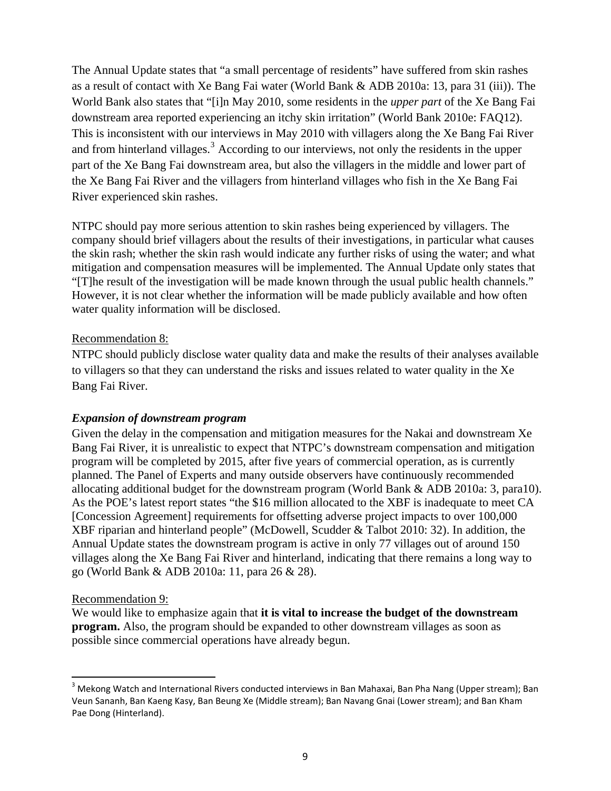The Annual Update states that "a small percentage of residents" have suffered from skin rashes as a result of contact with Xe Bang Fai water (World Bank & ADB 2010a: 13, para 31 (iii)). The World Bank also states that "[i]n May 2010, some residents in the *upper part* of the Xe Bang Fai downstream area reported experiencing an itchy skin irritation" (World Bank 2010e: FAQ12). This is inconsistent with our interviews in May 2010 with villagers along the Xe Bang Fai River and from hinterland villages.<sup>[3](#page-8-0)</sup> According to our interviews, not only the residents in the upper part of the Xe Bang Fai downstream area, but also the villagers in the middle and lower part of the Xe Bang Fai River and the villagers from hinterland villages who fish in the Xe Bang Fai River experienced skin rashes.

NTPC should pay more serious attention to skin rashes being experienced by villagers. The company should brief villagers about the results of their investigations, in particular what causes the skin rash; whether the skin rash would indicate any further risks of using the water; and what mitigation and compensation measures will be implemented. The Annual Update only states that "[T]he result of the investigation will be made known through the usual public health channels." However, it is not clear whether the information will be made publicly available and how often water quality information will be disclosed.

#### Recommendation 8:

NTPC should publicly disclose water quality data and make the results of their analyses available to villagers so that they can understand the risks and issues related to water quality in the Xe Bang Fai River.

#### *Expansion of downstream program*

Given the delay in the compensation and mitigation measures for the Nakai and downstream Xe Bang Fai River, it is unrealistic to expect that NTPC's downstream compensation and mitigation program will be completed by 2015, after five years of commercial operation, as is currently planned. The Panel of Experts and many outside observers have continuously recommended allocating additional budget for the downstream program (World Bank & ADB 2010a: 3, para10). As the POE's latest report states "the \$16 million allocated to the XBF is inadequate to meet CA [Concession Agreement] requirements for offsetting adverse project impacts to over 100,000 XBF riparian and hinterland people" (McDowell, Scudder & Talbot 2010: 32). In addition, the Annual Update states the downstream program is active in only 77 villages out of around 150 villages along the Xe Bang Fai River and hinterland, indicating that there remains a long way to go (World Bank & ADB 2010a: 11, para 26 & 28).

#### Recommendation 9:

We would like to emphasize again that **it is vital to increase the budget of the downstream program.** Also, the program should be expanded to other downstream villages as soon as possible since commercial operations have already begun.

<span id="page-8-0"></span><sup>&</sup>lt;sup>3</sup> Mekong Watch and International Rivers conducted interviews in Ban Mahaxai, Ban Pha Nang (Upper stream); Ban Veun Sananh, Ban Kaeng Kasy, Ban Beung Xe (Middle stream); Ban Navang Gnai (Lower stream); and Ban Kham Pae Dong (Hinterland).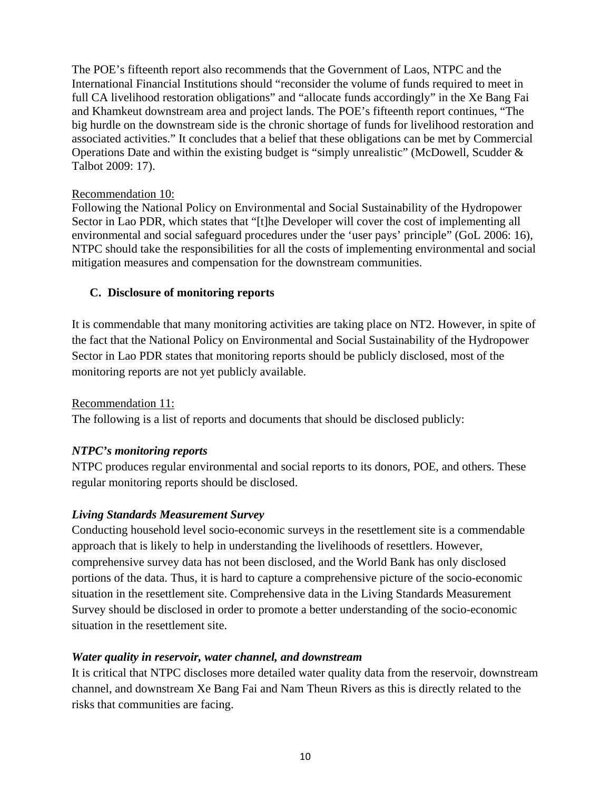The POE's fifteenth report also recommends that the Government of Laos, NTPC and the International Financial Institutions should "reconsider the volume of funds required to meet in full CA livelihood restoration obligations" and "allocate funds accordingly" in the Xe Bang Fai and Khamkeut downstream area and project lands. The POE's fifteenth report continues, "The big hurdle on the downstream side is the chronic shortage of funds for livelihood restoration and associated activities." It concludes that a belief that these obligations can be met by Commercial Operations Date and within the existing budget is "simply unrealistic" (McDowell, Scudder & Talbot 2009: 17).

### Recommendation 10:

Following the National Policy on Environmental and Social Sustainability of the Hydropower Sector in Lao PDR, which states that "[t]he Developer will cover the cost of implementing all environmental and social safeguard procedures under the 'user pays' principle" (GoL 2006: 16), NTPC should take the responsibilities for all the costs of implementing environmental and social mitigation measures and compensation for the downstream communities.

### **C. Disclosure of monitoring reports**

It is commendable that many monitoring activities are taking place on NT2. However, in spite of the fact that the National Policy on Environmental and Social Sustainability of the Hydropower Sector in Lao PDR states that monitoring reports should be publicly disclosed, most of the monitoring reports are not yet publicly available.

### Recommendation 11:

The following is a list of reports and documents that should be disclosed publicly:

### *NTPC's monitoring reports*

NTPC produces regular environmental and social reports to its donors, POE, and others. These regular monitoring reports should be disclosed.

### *Living Standards Measurement Survey*

Conducting household level socio-economic surveys in the resettlement site is a commendable approach that is likely to help in understanding the livelihoods of resettlers. However, comprehensive survey data has not been disclosed, and the World Bank has only disclosed portions of the data. Thus, it is hard to capture a comprehensive picture of the socio-economic situation in the resettlement site. Comprehensive data in the Living Standards Measurement Survey should be disclosed in order to promote a better understanding of the socio-economic situation in the resettlement site.

### *Water quality in reservoir, water channel, and downstream*

It is critical that NTPC discloses more detailed water quality data from the reservoir, downstream channel, and downstream Xe Bang Fai and Nam Theun Rivers as this is directly related to the risks that communities are facing.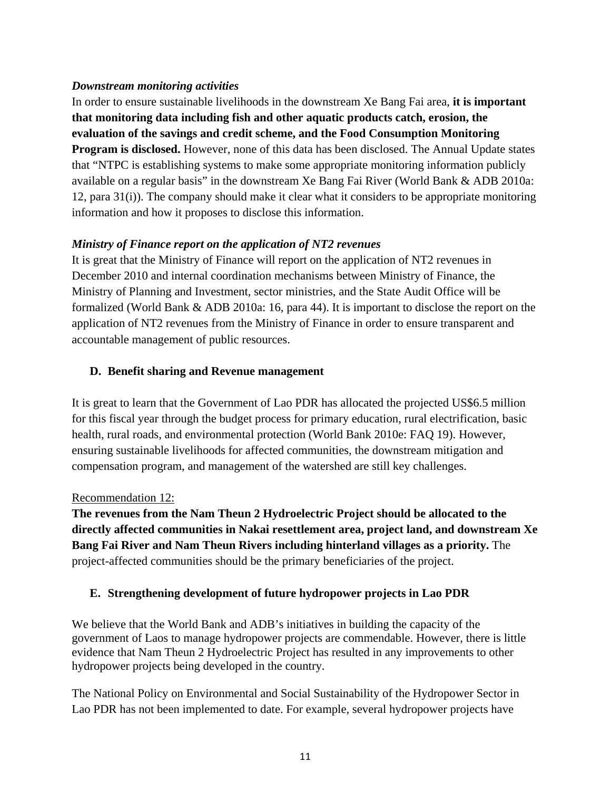### *Downstream monitoring activities*

In order to ensure sustainable livelihoods in the downstream Xe Bang Fai area, **it is important that monitoring data including fish and other aquatic products catch, erosion, the evaluation of the savings and credit scheme, and the Food Consumption Monitoring Program is disclosed.** However, none of this data has been disclosed. The Annual Update states that "NTPC is establishing systems to make some appropriate monitoring information publicly available on a regular basis" in the downstream Xe Bang Fai River (World Bank & ADB 2010a: 12, para 31(i)). The company should make it clear what it considers to be appropriate monitoring information and how it proposes to disclose this information.

## *Ministry of Finance report on the application of NT2 revenues*

It is great that the Ministry of Finance will report on the application of NT2 revenues in December 2010 and internal coordination mechanisms between Ministry of Finance, the Ministry of Planning and Investment, sector ministries, and the State Audit Office will be formalized (World Bank & ADB 2010a: 16, para 44). It is important to disclose the report on the application of NT2 revenues from the Ministry of Finance in order to ensure transparent and accountable management of public resources.

### **D. Benefit sharing and Revenue management**

It is great to learn that the Government of Lao PDR has allocated the projected US\$6.5 million for this fiscal year through the budget process for primary education, rural electrification, basic health, rural roads, and environmental protection (World Bank 2010e: FAQ 19). However, ensuring sustainable livelihoods for affected communities, the downstream mitigation and compensation program, and management of the watershed are still key challenges.

### Recommendation 12:

**The revenues from the Nam Theun 2 Hydroelectric Project should be allocated to the directly affected communities in Nakai resettlement area, project land, and downstream Xe Bang Fai River and Nam Theun Rivers including hinterland villages as a priority.** The project-affected communities should be the primary beneficiaries of the project.

### **E. Strengthening development of future hydropower projects in Lao PDR**

We believe that the World Bank and ADB's initiatives in building the capacity of the government of Laos to manage hydropower projects are commendable. However, there is little evidence that Nam Theun 2 Hydroelectric Project has resulted in any improvements to other hydropower projects being developed in the country.

The National Policy on Environmental and Social Sustainability of the Hydropower Sector in Lao PDR has not been implemented to date. For example, several hydropower projects have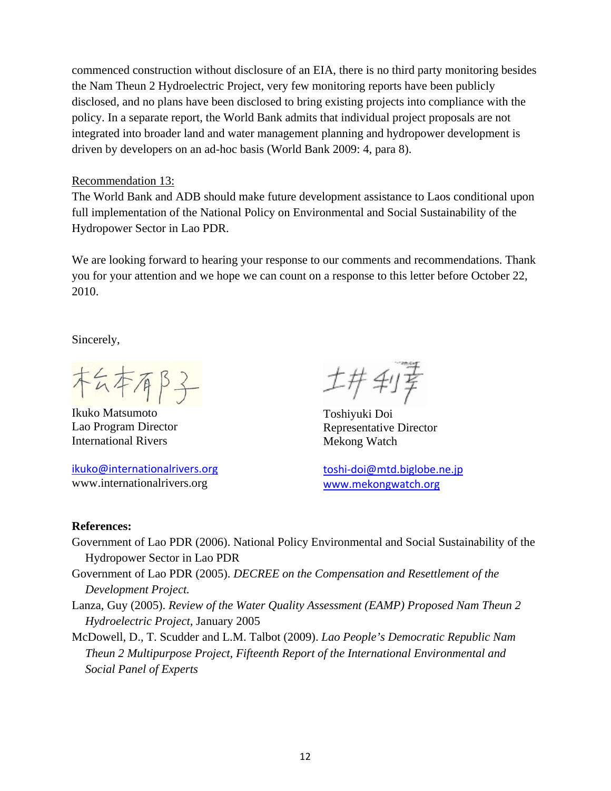commenced construction without disclosure of an EIA, there is no third party monitoring besides the Nam Theun 2 Hydroelectric Project, very few monitoring reports have been publicly disclosed, and no plans have been disclosed to bring existing projects into compliance with the policy. In a separate report, the World Bank admits that individual project proposals are not integrated into broader land and water management planning and hydropower development is driven by developers on an ad-hoc basis (World Bank 2009: 4, para 8).

### Recommendation 13:

The World Bank and ADB should make future development assistance to Laos conditional upon full implementation of the National Policy on Environmental and Social Sustainability of the Hydropower Sector in Lao PDR.

We are looking forward to hearing your response to our comments and recommendations. Thank you for your attention and we hope we can count on a response to this letter before October 22, 2010.

Sincerely,

木么本有B子

Ikuko Matsumoto Toshiyuki Doi International Rivers Mekong Watch

[ikuko@internationalrivers.org](mailto:ikuko@internationalrivers.org) toshi‐[doi@mtd.biglobe.ne.jp](mailto:toshi-doi@mtd.biglobe.ne.jp) www.internationalrivers.org [www.mekongwatch.org](http://www.mekongwatch.org/)

工井利享

Representative Director

### **References:**

- Government of Lao PDR (2006). National Policy Environmental and Social Sustainability of the Hydropower Sector in Lao PDR
- Government of Lao PDR (2005). *DECREE on the Compensation and Resettlement of the Development Project.*
- Lanza, Guy (2005). *Review of the Water Quality Assessment (EAMP) Proposed Nam Theun 2 Hydroelectric Project,* January 2005
- McDowell, D., T. Scudder and L.M. Talbot (2009). *Lao People's Democratic Republic Nam Theun 2 Multipurpose Project, Fifteenth Report of the International Environmental and Social Panel of Experts*